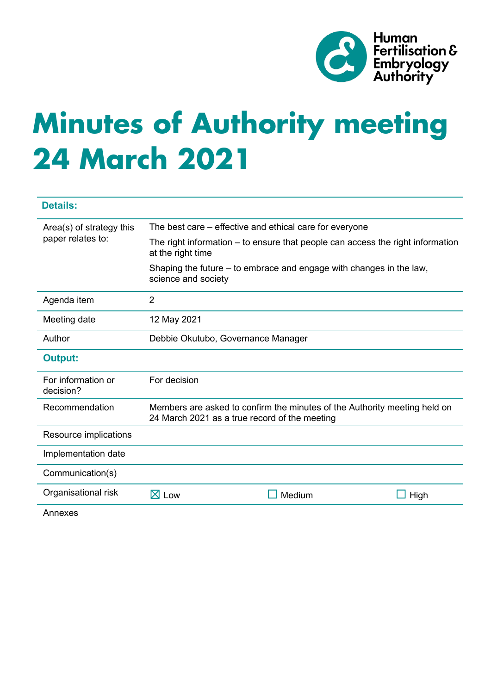

# **Minutes of Authority meeting 24 March 2021**

| <b>Details:</b>                               |                                                                                                                            |        |      |
|-----------------------------------------------|----------------------------------------------------------------------------------------------------------------------------|--------|------|
| Area(s) of strategy this<br>paper relates to: | The best care – effective and ethical care for everyone                                                                    |        |      |
|                                               | The right information – to ensure that people can access the right information<br>at the right time                        |        |      |
|                                               | Shaping the future – to embrace and engage with changes in the law,<br>science and society                                 |        |      |
| Agenda item                                   | $\overline{2}$                                                                                                             |        |      |
| Meeting date                                  | 12 May 2021                                                                                                                |        |      |
| Author                                        | Debbie Okutubo, Governance Manager                                                                                         |        |      |
| <b>Output:</b>                                |                                                                                                                            |        |      |
| For information or<br>decision?               | For decision                                                                                                               |        |      |
| Recommendation                                | Members are asked to confirm the minutes of the Authority meeting held on<br>24 March 2021 as a true record of the meeting |        |      |
| Resource implications                         |                                                                                                                            |        |      |
| Implementation date                           |                                                                                                                            |        |      |
| Communication(s)                              |                                                                                                                            |        |      |
| Organisational risk                           | $\boxtimes$ Low                                                                                                            | Medium | High |
| Annexes                                       |                                                                                                                            |        |      |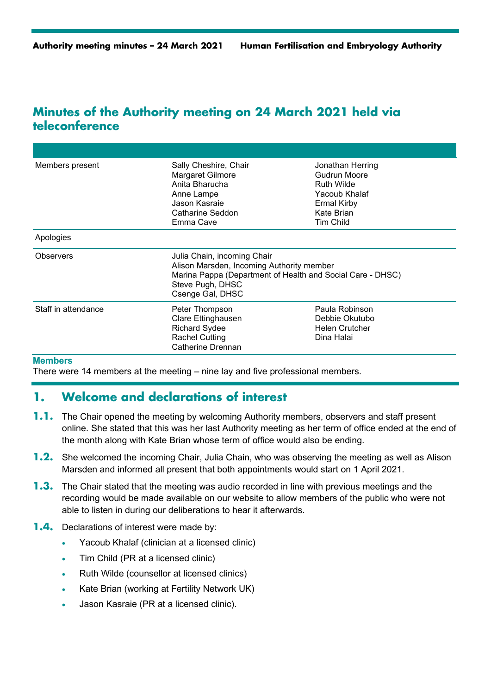# **Minutes of the Authority meeting on 24 March 2021 held via teleconference**

| Members present     | Sally Cheshire, Chair<br>Margaret Gilmore<br>Anita Bharucha<br>Anne Lampe<br>Jason Kasraie<br>Catharine Seddon<br>Emma Cave                                                    | Jonathan Herring<br>Gudrun Moore<br><b>Ruth Wilde</b><br>Yacoub Khalaf<br><b>Ermal Kirby</b><br>Kate Brian<br>Tim Child |  |
|---------------------|--------------------------------------------------------------------------------------------------------------------------------------------------------------------------------|-------------------------------------------------------------------------------------------------------------------------|--|
| Apologies           |                                                                                                                                                                                |                                                                                                                         |  |
| <b>Observers</b>    | Julia Chain, incoming Chair<br>Alison Marsden, Incoming Authority member<br>Marina Pappa (Department of Health and Social Care - DHSC)<br>Steve Pugh, DHSC<br>Csenge Gal, DHSC |                                                                                                                         |  |
| Staff in attendance | Peter Thompson<br>Clare Ettinghausen<br><b>Richard Sydee</b><br><b>Rachel Cutting</b><br>Catherine Drennan                                                                     | Paula Robinson<br>Debbie Okutubo<br>Helen Crutcher<br>Dina Halai                                                        |  |

#### **Members**

There were 14 members at the meeting – nine lay and five professional members.

## **1. Welcome and declarations of interest**

- **1.1.** The Chair opened the meeting by welcoming Authority members, observers and staff present online. She stated that this was her last Authority meeting as her term of office ended at the end of the month along with Kate Brian whose term of office would also be ending.
- **1.2.** She welcomed the incoming Chair, Julia Chain, who was observing the meeting as well as Alison Marsden and informed all present that both appointments would start on 1 April 2021.
- **1.3.** The Chair stated that the meeting was audio recorded in line with previous meetings and the recording would be made available on our website to allow members of the public who were not able to listen in during our deliberations to hear it afterwards.
- **1.4.** Declarations of interest were made by:
	- Yacoub Khalaf (clinician at a licensed clinic)
	- Tim Child (PR at a licensed clinic)
	- Ruth Wilde (counsellor at licensed clinics)
	- Kate Brian (working at Fertility Network UK)
	- Jason Kasraie (PR at a licensed clinic).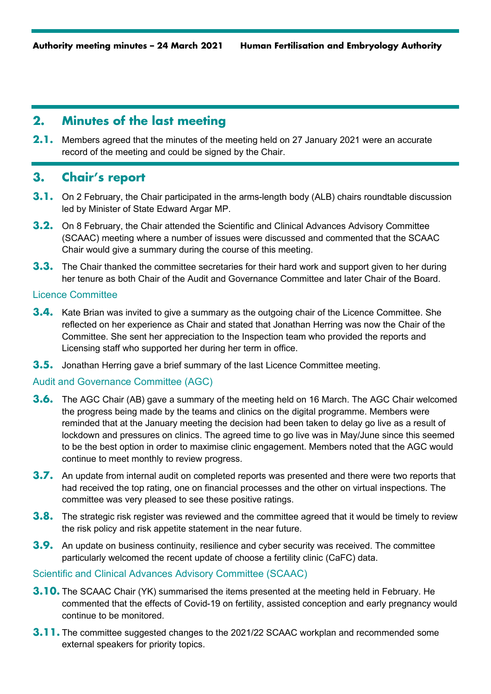## **2. Minutes of the last meeting**

**2.1.** Members agreed that the minutes of the meeting held on 27 January 2021 were an accurate record of the meeting and could be signed by the Chair.

## **3. Chair's report**

- **3.1.** On 2 February, the Chair participated in the arms-length body (ALB) chairs roundtable discussion led by Minister of State Edward Argar MP.
- **3.2.** On 8 February, the Chair attended the Scientific and Clinical Advances Advisory Committee (SCAAC) meeting where a number of issues were discussed and commented that the SCAAC Chair would give a summary during the course of this meeting.
- **3.3.** The Chair thanked the committee secretaries for their hard work and support given to her during her tenure as both Chair of the Audit and Governance Committee and later Chair of the Board.

#### Licence Committee

- **3.4.** Kate Brian was invited to give a summary as the outgoing chair of the Licence Committee. She reflected on her experience as Chair and stated that Jonathan Herring was now the Chair of the Committee. She sent her appreciation to the Inspection team who provided the reports and Licensing staff who supported her during her term in office.
- **3.5.** Jonathan Herring gave a brief summary of the last Licence Committee meeting.

#### Audit and Governance Committee (AGC)

- **3.6.** The AGC Chair (AB) gave a summary of the meeting held on 16 March. The AGC Chair welcomed the progress being made by the teams and clinics on the digital programme. Members were reminded that at the January meeting the decision had been taken to delay go live as a result of lockdown and pressures on clinics. The agreed time to go live was in May/June since this seemed to be the best option in order to maximise clinic engagement. Members noted that the AGC would continue to meet monthly to review progress.
- **3.7.** An update from internal audit on completed reports was presented and there were two reports that had received the top rating, one on financial processes and the other on virtual inspections. The committee was very pleased to see these positive ratings.
- **3.8.** The strategic risk register was reviewed and the committee agreed that it would be timely to review the risk policy and risk appetite statement in the near future.
- **3.9.** An update on business continuity, resilience and cyber security was received. The committee particularly welcomed the recent update of choose a fertility clinic (CaFC) data.

## Scientific and Clinical Advances Advisory Committee (SCAAC)

- **3.10.** The SCAAC Chair (YK) summarised the items presented at the meeting held in February. He commented that the effects of Covid-19 on fertility, assisted conception and early pregnancy would continue to be monitored.
- **3.11.** The committee suggested changes to the 2021/22 SCAAC workplan and recommended some external speakers for priority topics.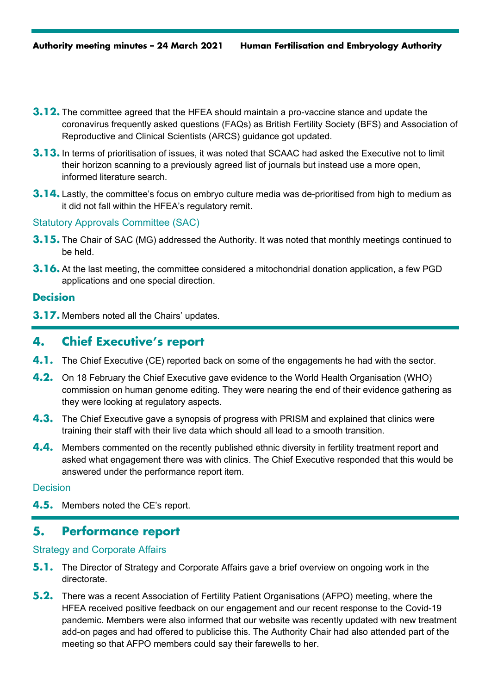- **3.12.** The committee agreed that the HFEA should maintain a pro-vaccine stance and update the coronavirus frequently asked questions (FAQs) as British Fertility Society (BFS) and Association of Reproductive and Clinical Scientists (ARCS) guidance got updated.
- **3.13.** In terms of prioritisation of issues, it was noted that SCAAC had asked the Executive not to limit their horizon scanning to a previously agreed list of journals but instead use a more open, informed literature search.
- **3.14.** Lastly, the committee's focus on embryo culture media was de-prioritised from high to medium as it did not fall within the HFEA's regulatory remit.

#### Statutory Approvals Committee (SAC)

- **3.15.** The Chair of SAC (MG) addressed the Authority. It was noted that monthly meetings continued to be held.
- **3.16.** At the last meeting, the committee considered a mitochondrial donation application, a few PGD applications and one special direction.

#### **Decision**

**3.17.** Members noted all the Chairs' updates.

## **4. Chief Executive's report**

- **4.1.** The Chief Executive (CE) reported back on some of the engagements he had with the sector.
- **4.2.** On 18 February the Chief Executive gave evidence to the World Health Organisation (WHO) commission on human genome editing. They were nearing the end of their evidence gathering as they were looking at regulatory aspects.
- **4.3.** The Chief Executive gave a synopsis of progress with PRISM and explained that clinics were training their staff with their live data which should all lead to a smooth transition.
- **4.4.** Members commented on the recently published ethnic diversity in fertility treatment report and asked what engagement there was with clinics. The Chief Executive responded that this would be answered under the performance report item.

#### **Decision**

**4.5.** Members noted the CE's report.

## **5. Performance report**

#### Strategy and Corporate Affairs

- **5.1.** The Director of Strategy and Corporate Affairs gave a brief overview on ongoing work in the directorate.
- **5.2.** There was a recent Association of Fertility Patient Organisations (AFPO) meeting, where the HFEA received positive feedback on our engagement and our recent response to the Covid-19 pandemic. Members were also informed that our website was recently updated with new treatment add-on pages and had offered to publicise this. The Authority Chair had also attended part of the meeting so that AFPO members could say their farewells to her.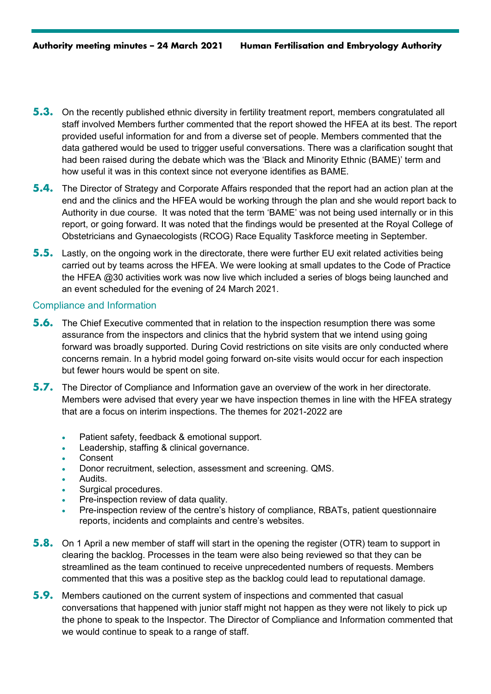- **5.3.** On the recently published ethnic diversity in fertility treatment report, members congratulated all staff involved Members further commented that the report showed the HFEA at its best. The report provided useful information for and from a diverse set of people. Members commented that the data gathered would be used to trigger useful conversations. There was a clarification sought that had been raised during the debate which was the 'Black and Minority Ethnic (BAME)' term and how useful it was in this context since not everyone identifies as BAME.
- **5.4.** The Director of Strategy and Corporate Affairs responded that the report had an action plan at the end and the clinics and the HFEA would be working through the plan and she would report back to Authority in due course. It was noted that the term 'BAME' was not being used internally or in this report, or going forward. It was noted that the findings would be presented at the Royal College of Obstetricians and Gynaecologists (RCOG) Race Equality Taskforce meeting in September.
- **5.5.** Lastly, on the ongoing work in the directorate, there were further EU exit related activities being carried out by teams across the HFEA. We were looking at small updates to the Code of Practice the HFEA @30 activities work was now live which included a series of blogs being launched and an event scheduled for the evening of 24 March 2021.

#### Compliance and Information

- **5.6.** The Chief Executive commented that in relation to the inspection resumption there was some assurance from the inspectors and clinics that the hybrid system that we intend using going forward was broadly supported. During Covid restrictions on site visits are only conducted where concerns remain. In a hybrid model going forward on-site visits would occur for each inspection but fewer hours would be spent on site.
- **5.7.** The Director of Compliance and Information gave an overview of the work in her directorate. Members were advised that every year we have inspection themes in line with the HFEA strategy that are a focus on interim inspections. The themes for 2021-2022 are
	- Patient safety, feedback & emotional support.
	- Leadership, staffing & clinical governance.
	- Consent
	- Donor recruitment, selection, assessment and screening. QMS.
	- Audits.
	- Surgical procedures.
	- Pre-inspection review of data quality.
	- Pre-inspection review of the centre's history of compliance, RBATs, patient questionnaire reports, incidents and complaints and centre's websites.
- **5.8.** On 1 April a new member of staff will start in the opening the register (OTR) team to support in clearing the backlog. Processes in the team were also being reviewed so that they can be streamlined as the team continued to receive unprecedented numbers of requests. Members commented that this was a positive step as the backlog could lead to reputational damage.
- **5.9.** Members cautioned on the current system of inspections and commented that casual conversations that happened with junior staff might not happen as they were not likely to pick up the phone to speak to the Inspector. The Director of Compliance and Information commented that we would continue to speak to a range of staff.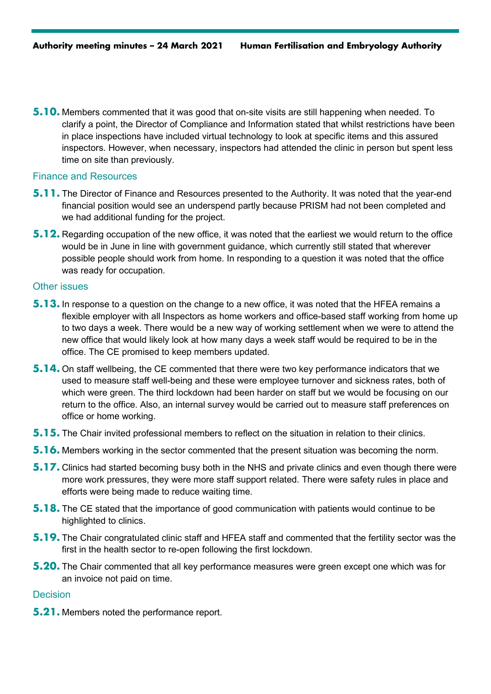**5.10.** Members commented that it was good that on-site visits are still happening when needed. To clarify a point, the Director of Compliance and Information stated that whilst restrictions have been in place inspections have included virtual technology to look at specific items and this assured inspectors. However, when necessary, inspectors had attended the clinic in person but spent less time on site than previously.

#### Finance and Resources

- **5.11.** The Director of Finance and Resources presented to the Authority. It was noted that the year-end financial position would see an underspend partly because PRISM had not been completed and we had additional funding for the project.
- **5.12.** Regarding occupation of the new office, it was noted that the earliest we would return to the office would be in June in line with government guidance, which currently still stated that wherever possible people should work from home. In responding to a question it was noted that the office was ready for occupation.

#### Other issues

- **5.13.** In response to a question on the change to a new office, it was noted that the HFEA remains a flexible employer with all Inspectors as home workers and office-based staff working from home up to two days a week. There would be a new way of working settlement when we were to attend the new office that would likely look at how many days a week staff would be required to be in the office. The CE promised to keep members updated.
- **5.14.** On staff wellbeing, the CE commented that there were two key performance indicators that we used to measure staff well-being and these were employee turnover and sickness rates, both of which were green. The third lockdown had been harder on staff but we would be focusing on our return to the office. Also, an internal survey would be carried out to measure staff preferences on office or home working.
- **5.15.** The Chair invited professional members to reflect on the situation in relation to their clinics.
- **5.16.** Members working in the sector commented that the present situation was becoming the norm.
- **5.17.** Clinics had started becoming busy both in the NHS and private clinics and even though there were more work pressures, they were more staff support related. There were safety rules in place and efforts were being made to reduce waiting time.
- **5.18.** The CE stated that the importance of good communication with patients would continue to be highlighted to clinics.
- **5.19.** The Chair congratulated clinic staff and HFEA staff and commented that the fertility sector was the first in the health sector to re-open following the first lockdown.
- **5.20.** The Chair commented that all key performance measures were green except one which was for an invoice not paid on time.

#### **Decision**

**5.21.** Members noted the performance report.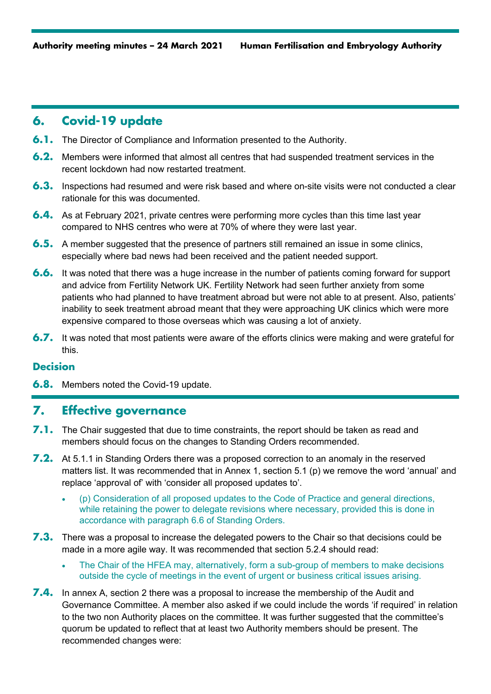# **6. Covid-19 update**

- **6.1.** The Director of Compliance and Information presented to the Authority.
- **6.2.** Members were informed that almost all centres that had suspended treatment services in the recent lockdown had now restarted treatment.
- **6.3.** Inspections had resumed and were risk based and where on-site visits were not conducted a clear rationale for this was documented.
- **6.4.** As at February 2021, private centres were performing more cycles than this time last year compared to NHS centres who were at 70% of where they were last year.
- **6.5.** A member suggested that the presence of partners still remained an issue in some clinics, especially where bad news had been received and the patient needed support.
- **6.6.** It was noted that there was a huge increase in the number of patients coming forward for support and advice from Fertility Network UK. Fertility Network had seen further anxiety from some patients who had planned to have treatment abroad but were not able to at present. Also, patients' inability to seek treatment abroad meant that they were approaching UK clinics which were more expensive compared to those overseas which was causing a lot of anxiety.
- **6.7.** It was noted that most patients were aware of the efforts clinics were making and were grateful for this.

## **Decision**

**6.8.** Members noted the Covid-19 update.

## **7. Effective governance**

- **7.1.** The Chair suggested that due to time constraints, the report should be taken as read and members should focus on the changes to Standing Orders recommended.
- **7.2.** At 5.1.1 in Standing Orders there was a proposed correction to an anomaly in the reserved matters list. It was recommended that in Annex 1, section 5.1 (p) we remove the word 'annual' and replace 'approval of' with 'consider all proposed updates to'.
	- (p) Consideration of all proposed updates to the Code of Practice and general directions, while retaining the power to delegate revisions where necessary, provided this is done in accordance with paragraph 6.6 of Standing Orders.
- **7.3.** There was a proposal to increase the delegated powers to the Chair so that decisions could be made in a more agile way. It was recommended that section 5.2.4 should read:
	- The Chair of the HFEA may, alternatively, form a sub-group of members to make decisions outside the cycle of meetings in the event of urgent or business critical issues arising.
- **7.4.** In annex A, section 2 there was a proposal to increase the membership of the Audit and Governance Committee. A member also asked if we could include the words 'if required' in relation to the two non Authority places on the committee. It was further suggested that the committee's quorum be updated to reflect that at least two Authority members should be present. The recommended changes were: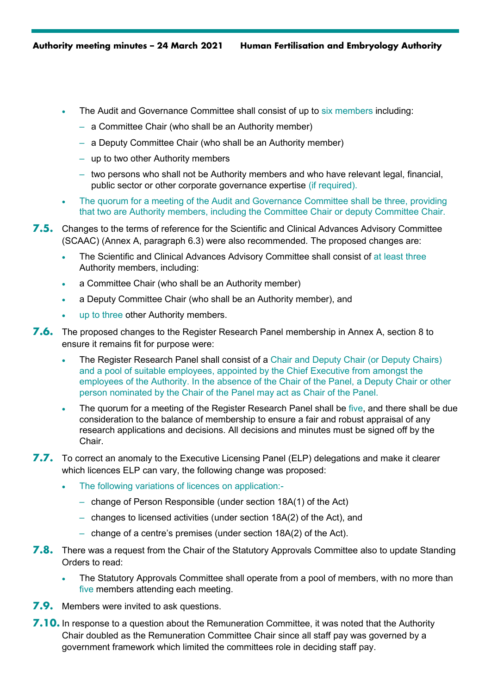- The Audit and Governance Committee shall consist of up to six members including:
	- a Committee Chair (who shall be an Authority member)
	- a Deputy Committee Chair (who shall be an Authority member)
	- up to two other Authority members
	- two persons who shall not be Authority members and who have relevant legal, financial, public sector or other corporate governance expertise (if required).
- The quorum for a meeting of the Audit and Governance Committee shall be three, providing that two are Authority members, including the Committee Chair or deputy Committee Chair.
- **7.5.** Changes to the terms of reference for the Scientific and Clinical Advances Advisory Committee (SCAAC) (Annex A, paragraph 6.3) were also recommended. The proposed changes are:
	- The Scientific and Clinical Advances Advisory Committee shall consist of at least three Authority members, including:
	- a Committee Chair (who shall be an Authority member)
	- a Deputy Committee Chair (who shall be an Authority member), and
	- up to three other Authority members.
- **7.6.** The proposed changes to the Register Research Panel membership in Annex A, section 8 to ensure it remains fit for purpose were:
	- The Register Research Panel shall consist of a Chair and Deputy Chair (or Deputy Chairs) and a pool of suitable employees, appointed by the Chief Executive from amongst the employees of the Authority. In the absence of the Chair of the Panel, a Deputy Chair or other person nominated by the Chair of the Panel may act as Chair of the Panel.
	- The quorum for a meeting of the Register Research Panel shall be five, and there shall be due consideration to the balance of membership to ensure a fair and robust appraisal of any research applications and decisions. All decisions and minutes must be signed off by the Chair.
- **7.7.** To correct an anomaly to the Executive Licensing Panel (ELP) delegations and make it clearer which licences ELP can vary, the following change was proposed:
	- The following variations of licences on application:-
		- change of Person Responsible (under section 18A(1) of the Act)
		- changes to licensed activities (under section 18A(2) of the Act), and
		- change of a centre's premises (under section 18A(2) of the Act).
- **7.8.** There was a request from the Chair of the Statutory Approvals Committee also to update Standing Orders to read:
	- The Statutory Approvals Committee shall operate from a pool of members, with no more than five members attending each meeting.
- **7.9.** Members were invited to ask questions.
- **7.10.** In response to a question about the Remuneration Committee, it was noted that the Authority Chair doubled as the Remuneration Committee Chair since all staff pay was governed by a government framework which limited the committees role in deciding staff pay.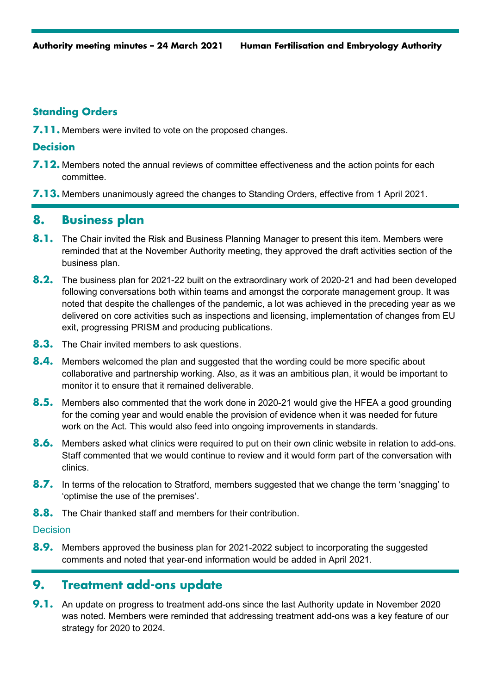## **Standing Orders**

**7.11.** Members were invited to vote on the proposed changes.

#### **Decision**

- **7.12.** Members noted the annual reviews of committee effectiveness and the action points for each committee.
- **7.13.** Members unanimously agreed the changes to Standing Orders, effective from 1 April 2021.

# **8. Business plan**

- **8.1.** The Chair invited the Risk and Business Planning Manager to present this item. Members were reminded that at the November Authority meeting, they approved the draft activities section of the business plan.
- **8.2.** The business plan for 2021-22 built on the extraordinary work of 2020-21 and had been developed following conversations both within teams and amongst the corporate management group. It was noted that despite the challenges of the pandemic, a lot was achieved in the preceding year as we delivered on core activities such as inspections and licensing, implementation of changes from EU exit, progressing PRISM and producing publications.
- **8.3.** The Chair invited members to ask questions.
- **8.4.** Members welcomed the plan and suggested that the wording could be more specific about collaborative and partnership working. Also, as it was an ambitious plan, it would be important to monitor it to ensure that it remained deliverable.
- **8.5.** Members also commented that the work done in 2020-21 would give the HFEA a good grounding for the coming year and would enable the provision of evidence when it was needed for future work on the Act. This would also feed into ongoing improvements in standards.
- **8.6.** Members asked what clinics were required to put on their own clinic website in relation to add-ons. Staff commented that we would continue to review and it would form part of the conversation with clinics.
- **8.7.** In terms of the relocation to Stratford, members suggested that we change the term 'snagging' to 'optimise the use of the premises'.
- **8.8.** The Chair thanked staff and members for their contribution.

#### **Decision**

**8.9.** Members approved the business plan for 2021-2022 subject to incorporating the suggested comments and noted that year-end information would be added in April 2021.

# **9. Treatment add-ons update**

**9.1.** An update on progress to treatment add-ons since the last Authority update in November 2020 was noted. Members were reminded that addressing treatment add-ons was a key feature of our strategy for 2020 to 2024.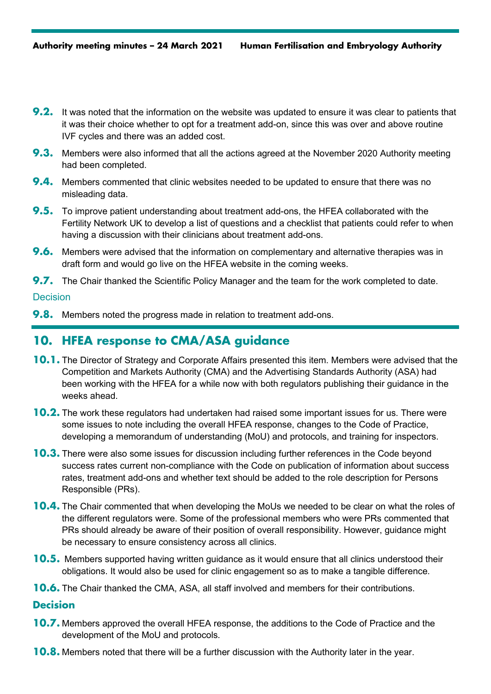- **9.2.** It was noted that the information on the website was updated to ensure it was clear to patients that it was their choice whether to opt for a treatment add-on, since this was over and above routine IVF cycles and there was an added cost.
- **9.3.** Members were also informed that all the actions agreed at the November 2020 Authority meeting had been completed.
- **9.4.** Members commented that clinic websites needed to be updated to ensure that there was no misleading data.
- **9.5.** To improve patient understanding about treatment add-ons, the HFEA collaborated with the Fertility Network UK to develop a list of questions and a checklist that patients could refer to when having a discussion with their clinicians about treatment add-ons.
- **9.6.** Members were advised that the information on complementary and alternative therapies was in draft form and would go live on the HFEA website in the coming weeks.
- **9.7.** The Chair thanked the Scientific Policy Manager and the team for the work completed to date.

#### **Decision**

**9.8.** Members noted the progress made in relation to treatment add-ons.

# **10. HFEA response to CMA/ASA guidance**

- **10.1.** The Director of Strategy and Corporate Affairs presented this item. Members were advised that the Competition and Markets Authority (CMA) and the Advertising Standards Authority (ASA) had been working with the HFEA for a while now with both regulators publishing their guidance in the weeks ahead.
- **10.2.** The work these regulators had undertaken had raised some important issues for us. There were some issues to note including the overall HFEA response, changes to the Code of Practice, developing a memorandum of understanding (MoU) and protocols, and training for inspectors.
- **10.3.** There were also some issues for discussion including further references in the Code beyond success rates current non-compliance with the Code on publication of information about success rates, treatment add-ons and whether text should be added to the role description for Persons Responsible (PRs).
- **10.4.** The Chair commented that when developing the MoUs we needed to be clear on what the roles of the different regulators were. Some of the professional members who were PRs commented that PRs should already be aware of their position of overall responsibility. However, guidance might be necessary to ensure consistency across all clinics.
- **10.5.** Members supported having written guidance as it would ensure that all clinics understood their obligations. It would also be used for clinic engagement so as to make a tangible difference.
- **10.6.** The Chair thanked the CMA, ASA, all staff involved and members for their contributions.

#### **Decision**

- **10.7.** Members approved the overall HFEA response, the additions to the Code of Practice and the development of the MoU and protocols.
- **10.8.** Members noted that there will be a further discussion with the Authority later in the year.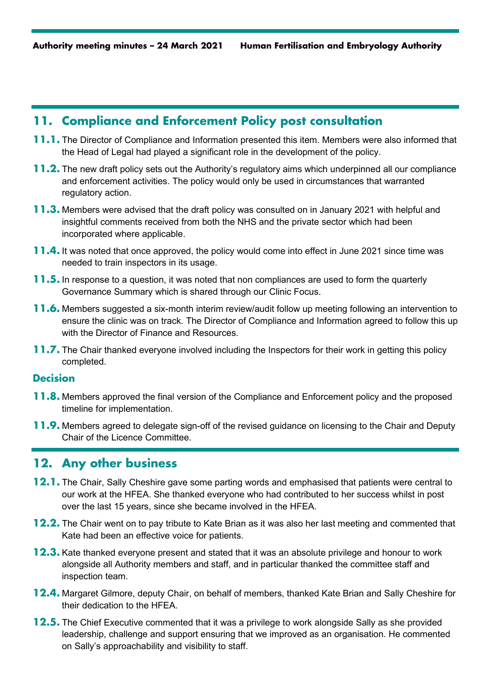# **11. Compliance and Enforcement Policy post consultation**

- **11.1.** The Director of Compliance and Information presented this item. Members were also informed that the Head of Legal had played a significant role in the development of the policy.
- **11.2.** The new draft policy sets out the Authority's regulatory aims which underpinned all our compliance and enforcement activities. The policy would only be used in circumstances that warranted regulatory action.
- **11.3.** Members were advised that the draft policy was consulted on in January 2021 with helpful and insightful comments received from both the NHS and the private sector which had been incorporated where applicable.
- **11.4.** It was noted that once approved, the policy would come into effect in June 2021 since time was needed to train inspectors in its usage.
- **11.5.** In response to a question, it was noted that non compliances are used to form the quarterly Governance Summary which is shared through our Clinic Focus.
- **11.6.** Members suggested a six-month interim review/audit follow up meeting following an intervention to ensure the clinic was on track. The Director of Compliance and Information agreed to follow this up with the Director of Finance and Resources.
- **11.7.** The Chair thanked everyone involved including the Inspectors for their work in getting this policy completed.

#### **Decision**

- **11.8.** Members approved the final version of the Compliance and Enforcement policy and the proposed timeline for implementation.
- **11.9.** Members agreed to delegate sign-off of the revised guidance on licensing to the Chair and Deputy Chair of the Licence Committee.

## **12. Any other business**

- **12.1.** The Chair, Sally Cheshire gave some parting words and emphasised that patients were central to our work at the HFEA. She thanked everyone who had contributed to her success whilst in post over the last 15 years, since she became involved in the HFEA.
- **12.2.** The Chair went on to pay tribute to Kate Brian as it was also her last meeting and commented that Kate had been an effective voice for patients.
- **12.3.** Kate thanked everyone present and stated that it was an absolute privilege and honour to work alongside all Authority members and staff, and in particular thanked the committee staff and inspection team.
- **12.4.** Margaret Gilmore, deputy Chair, on behalf of members, thanked Kate Brian and Sally Cheshire for their dedication to the HFEA.
- **12.5.** The Chief Executive commented that it was a privilege to work alongside Sally as she provided leadership, challenge and support ensuring that we improved as an organisation. He commented on Sally's approachability and visibility to staff.